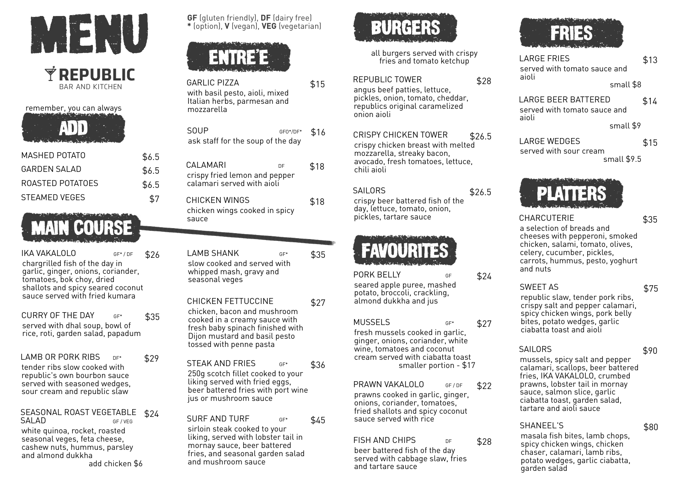

remember, you can always ADD

| MASHFD POTATO    | \$6.5 |
|------------------|-------|
| GARDEN SAI AD    | \$6.5 |
| ROASTED POTATOES | \$6.5 |
| STFAMFD VFGFS    | \$7   |

# MAIN COURSE

IKA VAKALOLO GF\* / DF chargrilled fish of the day in garlic, ginger, onions, coriander, tomatoes, bok choy, dried shallots and spicy seared coconut sauce served with fried kumara \$26

CURRY OF THE DAY  $GF^*$ served with dhal soup, bowl of rice, roti, garden salad, papadum \$35

LAMB OR PORK RIBS DE\* tender ribs slow cooked with republic's own bourbon sauce served with seasoned wedges, sour cream and republic slaw \$29

SEASONAL ROAST VEGETABLE SALAD GF/VEG \$24

white quinoa, rocket, roasted seasonal veges, feta cheese, cashew nuts, hummus, parsley and almond dukkha add chicken \$6

**GF** (gluten friendly), **DF** (dairy free) **\*** (option), **V** (vegan), **VEG** (vegetarian)



- GARLIC PIZZA with basil pesto, aioli, mixed Italian herbs, parmesan and mozzarella \$15 SOUP GEO\*/DE\* \$16
- ask staff for the soup of the day CALAMARI DE crispy fried lemon and pepper calamari served with aioli \$18 CHICKEN WINGS chicken wings cooked in spicy \$18

sauce

LAMB SHANK GE<sup>\*</sup> slow cooked and served with whipped mash, gravy and seasonal veges \$35

CHICKEN FETTUCCINE chicken, bacon and mushroom cooked in a creamy sauce with fresh baby spinach finished with Dijon mustard and basil pesto tossed with penne pasta \$27

STEAK AND FRIES 250g scotch fillet cooked to your liking served with fried eggs, beer battered fries with port wine jus or mushroom sauce \$36

SURF AND TURF GF\* sirloin steak cooked to your liking, served with lobster tail in mornay sauce, beer battered fries, and seasonal garden salad and mushroom sauce \$45



all burgers served with crispy fries and tomato ketchup

\$28

\$26.5

\$24

\$27

\$22

\$28

REPUBLIC TOWER

angus beef patties, lettuce, pickles, onion, tomato, cheddar, republics original caramelized onion aioli

CRISPY CHICKEN TOWER crispy chicken breast with melted mozzarella, streaky bacon, avocado, fresh tomatoes, lettuce, chili aioli \$26.5

SAIL ORS crispy beer battered fish of the day, lettuce, tomato, onion, pickles, tartare sauce



PORK BELLY seared apple puree, mashed potato, broccoli, crackling, almond dukkha and jus

## MUSSELS GF\*

fresh mussels cooked in garlic, ginger, onions, coriander, white wine, tomatoes and coconut cream served with ciabatta toast smaller portion - \$17

# PRAWN VAKALOLO GE/DE

prawns cooked in garlic, ginger, onions, coriander, tomatoes, fried shallots and spicy coconut sauce served with rice

FISH AND CHIPS DE

beer battered fish of the day served with cabbage slaw, fries and tartare sauce



LARGE FRIES served with tomato sauce and aioli small \$8 \$13

LARGE BEER BATTERED served with tomato sauce and aioli \$14

small \$9

LARGE WEDGES served with sour cream small \$9.5



CHARCUTERIE

\$35

\$15

a selection of breads and cheeses with pepperoni, smoked chicken, salami, tomato, olives, celery, cucumber, pickles, carrots, hummus, pesto, yoghurt and nuts

# SWEET AS

\$75

republic slaw, tender pork ribs, crispy salt and pepper calamari, spicy chicken wings, pork belly bites, potato wedges, garlic ciabatta toast and aioli

# SAILORS

\$90

\$80

mussels, spicy salt and pepper calamari, scallops, beer battered fries, IKA VAKALOLO, crumbed prawns, lobster tail in mornay sauce, salmon slice, garlic ciabatta toast, garden salad, tartare and aioli sauce

## SHANEEL'S

masala fish bites, lamb chops, spicy chicken wings, chicken chaser, calamari, lamb ribs, potato wedges, garlic ciabatta, garden salad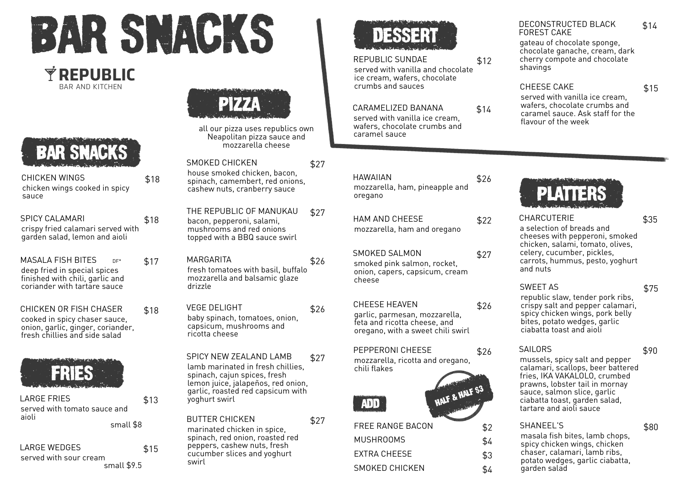

\$18

# **REPUBLIC** BAR AND KITCHEN



| CHICKEN WINGS                 | \$18 |
|-------------------------------|------|
| chicken wings cooked in spicy |      |
| sauce                         |      |

| <b>SPICY CALAMARI</b>             |  |
|-----------------------------------|--|
| crispy fried calamari served with |  |
| garden salad, lemon and aioli     |  |

- MASALA FISH BITES DE\* deep fried in special spices finished with chili, garlic and coriander with tartare sauce \$17
- CHICKEN OR FISH CHASER cooked in spicy chaser sauce, onion, garlic, ginger, coriander, fresh chillies and side salad \$18



LARGE FRIES served with tomato sauce and aioli \$13

small \$8

LARGE WEDGES served with sour cream small \$9.5 \$15



all our pizza uses republics own Neapolitan pizza sauce and mozzarella cheese

SMOKED CHICKEN house smoked chicken, bacon, spinach, camembert, red onions, cashew nuts, cranberry sauce \$27

THE REPUBLIC OF MANUKAU bacon, pepperoni, salami, mushrooms and red onions topped with a BBQ sauce swirl \$27

**MARGARITA** fresh tomatoes with basil, buffalo mozzarella and balsamic glaze drizzle \$26

VEGE DELIGHT baby spinach, tomatoes, onion, capsicum, mushrooms and ricotta cheese \$26

SPICY NEW ZEALAND LAMB lamb marinated in fresh chillies, spinach, cajun spices, fresh lemon juice, jalapeños, red onion, garlic, roasted red capsicum with yoghurt swirl \$27

BUTTER CHICKEN marinated chicken in spice, spinach, red onion, roasted red peppers, cashew nuts, fresh cucumber slices and yoghurt swirl



# REPUBLIC SUNDAE

served with vanilla and chocolate ice cream, wafers, chocolate crumbs and sauces

CARAMELIZED BANANA

served with vanilla ice cream, wafers, chocolate crumbs and caramel sauce

| HAWAIIAN                                  | \$26 |
|-------------------------------------------|------|
| mozzarella, ham, pineapple and<br>oregano |      |

HAM AND CHEESE mozzarella, ham and oregano  $$22$ 

SMOKED SALMON smoked pink salmon, rocket, \$27

onion, capers, capsicum, cream cheese

## CHEESE HEAVEN

garlic, parmesan, mozzarella, feta and ricotta cheese, and oregano, with a sweet chili swirl

PEPPERONI CHEESE mozzarella, ricotta and oregano, chili flakes \$26



\$27

# FREE RANGE BACON \$2 MUSHROOMS \$4 EXTRA CHEESE \$3 SMOKED CHICKEN  $$4$

DECONSTRUCTED BLACK FOREST CAKE \$14

gateau of chocolate sponge, chocolate ganache, cream, dark cherry compote and chocolate shavings

#### CHEESE CAKE

\$15

served with vanilla ice cream, wafers, chocolate crumbs and caramel sauce. Ask staff for the flavour of the week



CHARCUTERIE

\$35

a selection of breads and cheeses with pepperoni, smoked chicken, salami, tomato, olives, celery, cucumber, pickles, carrots, hummus, pesto, yoghurt and nuts

# SWEET AS

\$26

\$14

\$12

republic slaw, tender pork ribs, crispy salt and pepper calamari, spicy chicken wings, pork belly bites, potato wedges, garlic ciabatta toast and aioli

## SAILORS

\$90

\$80

\$75

mussels, spicy salt and pepper calamari, scallops, beer battered fries, IKA VAKALOLO, crumbed prawns, lobster tail in mornay sauce, salmon slice, garlic ciabatta toast, garden salad, tartare and aioli sauce

# SHANEEL'S

masala fish bites, lamb chops, spicy chicken wings, chicken chaser, calamari, lamb ribs, potato wedges, garlic ciabatta, garden salad